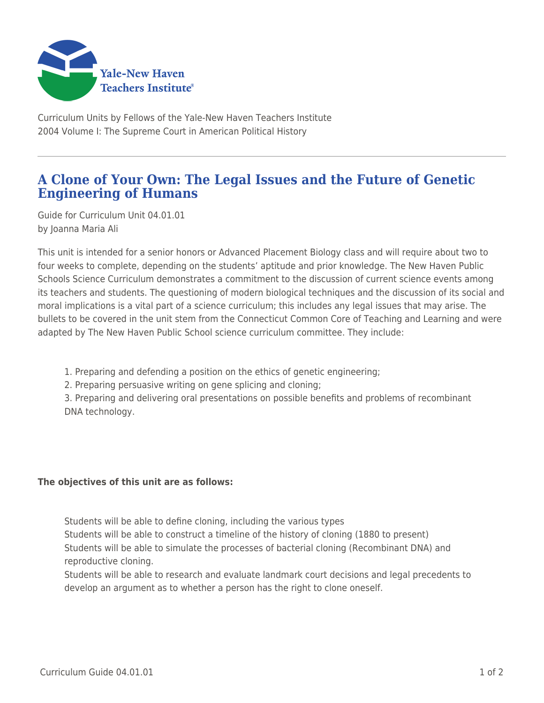

Curriculum Units by Fellows of the Yale-New Haven Teachers Institute 2004 Volume I: The Supreme Court in American Political History

## **A Clone of Your Own: The Legal Issues and the Future of Genetic Engineering of Humans**

Guide for Curriculum Unit 04.01.01 by Joanna Maria Ali

This unit is intended for a senior honors or Advanced Placement Biology class and will require about two to four weeks to complete, depending on the students' aptitude and prior knowledge. The New Haven Public Schools Science Curriculum demonstrates a commitment to the discussion of current science events among its teachers and students. The questioning of modern biological techniques and the discussion of its social and moral implications is a vital part of a science curriculum; this includes any legal issues that may arise. The bullets to be covered in the unit stem from the Connecticut Common Core of Teaching and Learning and were adapted by The New Haven Public School science curriculum committee. They include:

- 1. Preparing and defending a position on the ethics of genetic engineering;
- 2. Preparing persuasive writing on gene splicing and cloning;

3. Preparing and delivering oral presentations on possible benefits and problems of recombinant DNA technology.

## **The objectives of this unit are as follows:**

Students will be able to define cloning, including the various types Students will be able to construct a timeline of the history of cloning (1880 to present) Students will be able to simulate the processes of bacterial cloning (Recombinant DNA) and reproductive cloning.

Students will be able to research and evaluate landmark court decisions and legal precedents to develop an argument as to whether a person has the right to clone oneself.